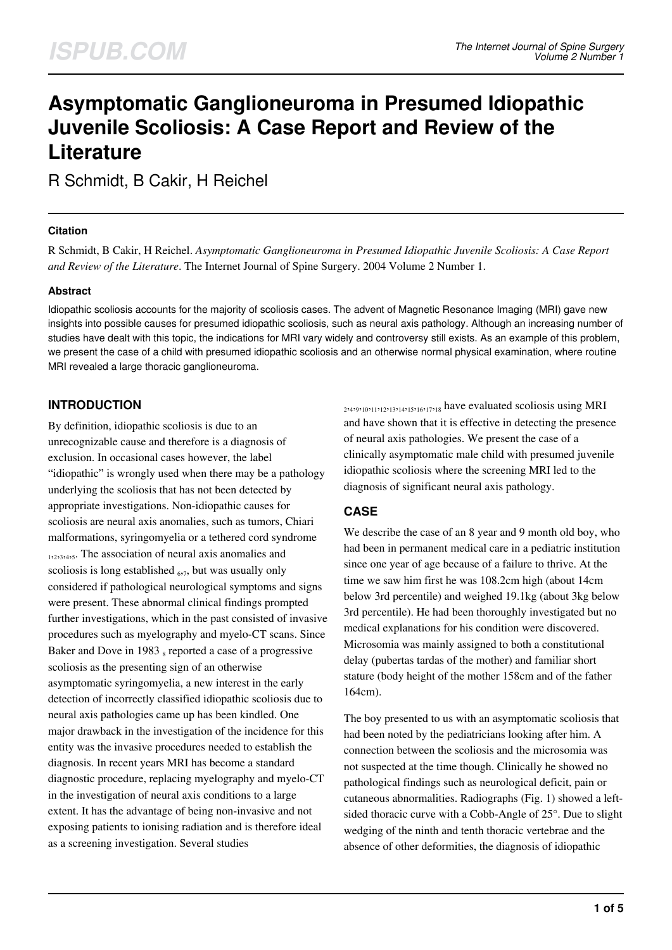# **Asymptomatic Ganglioneuroma in Presumed Idiopathic Juvenile Scoliosis: A Case Report and Review of the Literature**

R Schmidt, B Cakir, H Reichel

#### **Citation**

R Schmidt, B Cakir, H Reichel. *Asymptomatic Ganglioneuroma in Presumed Idiopathic Juvenile Scoliosis: A Case Report and Review of the Literature*. The Internet Journal of Spine Surgery. 2004 Volume 2 Number 1.

#### **Abstract**

Idiopathic scoliosis accounts for the majority of scoliosis cases. The advent of Magnetic Resonance Imaging (MRI) gave new insights into possible causes for presumed idiopathic scoliosis, such as neural axis pathology. Although an increasing number of studies have dealt with this topic, the indications for MRI vary widely and controversy still exists. As an example of this problem, we present the case of a child with presumed idiopathic scoliosis and an otherwise normal physical examination, where routine MRI revealed a large thoracic ganglioneuroma.

# **INTRODUCTION**

By definition, idiopathic scoliosis is due to an unrecognizable cause and therefore is a diagnosis of exclusion. In occasional cases however, the label "idiopathic" is wrongly used when there may be a pathology underlying the scoliosis that has not been detected by appropriate investigations. Non-idiopathic causes for scoliosis are neural axis anomalies, such as tumors, Chiari malformations, syringomyelia or a tethered cord syndrome 1,2,3,4,5. The association of neural axis anomalies and scoliosis is long established <sub>677</sub>, but was usually only considered if pathological neurological symptoms and signs were present. These abnormal clinical findings prompted further investigations, which in the past consisted of invasive procedures such as myelography and myelo-CT scans. Since Baker and Dove in 1983 s reported a case of a progressive scoliosis as the presenting sign of an otherwise asymptomatic syringomyelia, a new interest in the early detection of incorrectly classified idiopathic scoliosis due to neural axis pathologies came up has been kindled. One major drawback in the investigation of the incidence for this entity was the invasive procedures needed to establish the diagnosis. In recent years MRI has become a standard diagnostic procedure, replacing myelography and myelo-CT in the investigation of neural axis conditions to a large extent. It has the advantage of being non-invasive and not exposing patients to ionising radiation and is therefore ideal as a screening investigation. Several studies

2 ,4 ,9 ,10,11,12,13,14,15,16,17,18 have evaluated scoliosis using MRI and have shown that it is effective in detecting the presence of neural axis pathologies. We present the case of a clinically asymptomatic male child with presumed juvenile idiopathic scoliosis where the screening MRI led to the diagnosis of significant neural axis pathology.

# **CASE**

We describe the case of an 8 year and 9 month old boy, who had been in permanent medical care in a pediatric institution since one year of age because of a failure to thrive. At the time we saw him first he was 108.2cm high (about 14cm below 3rd percentile) and weighed 19.1kg (about 3kg below 3rd percentile). He had been thoroughly investigated but no medical explanations for his condition were discovered. Microsomia was mainly assigned to both a constitutional delay (pubertas tardas of the mother) and familiar short stature (body height of the mother 158cm and of the father 164cm).

The boy presented to us with an asymptomatic scoliosis that had been noted by the pediatricians looking after him. A connection between the scoliosis and the microsomia was not suspected at the time though. Clinically he showed no pathological findings such as neurological deficit, pain or cutaneous abnormalities. Radiographs (Fig. 1) showed a leftsided thoracic curve with a Cobb-Angle of 25°. Due to slight wedging of the ninth and tenth thoracic vertebrae and the absence of other deformities, the diagnosis of idiopathic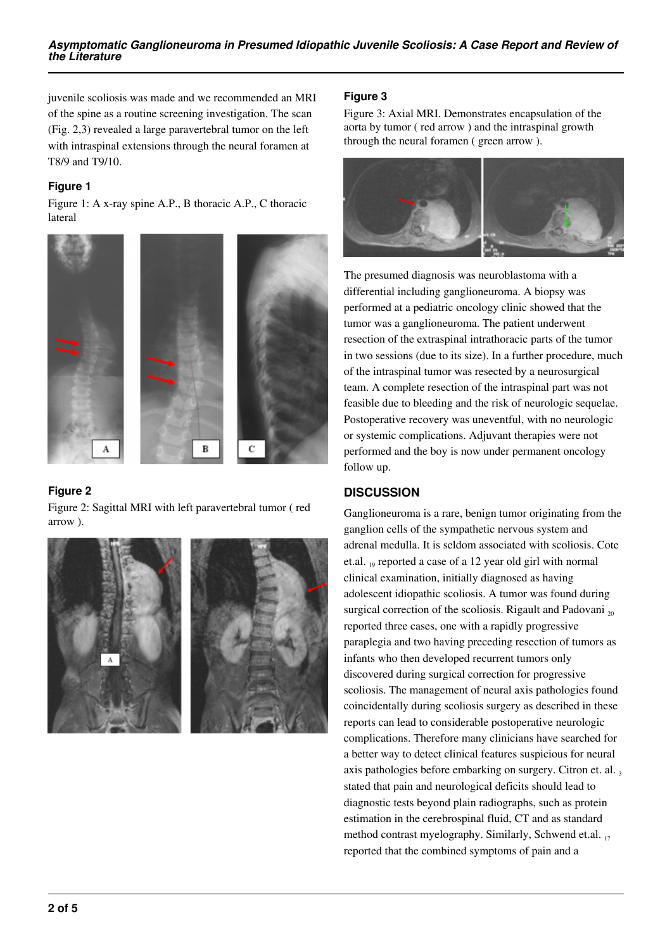juvenile scoliosis was made and we recommended an MRI of the spine as a routine screening investigation. The scan (Fig. 2,3) revealed a large paravertebral tumor on the left with intraspinal extensions through the neural foramen at T8/9 and T9/10.

#### **Figure 1**

Figure 1: A x-ray spine A.P., B thoracic A.P., C thoracic lateral



# **Figure 2**

Figure 2: Sagittal MRI with left paravertebral tumor ( red arrow ).



#### **Figure 3**

Figure 3: Axial MRI. Demonstrates encapsulation of the aorta by tumor ( red arrow ) and the intraspinal growth through the neural foramen ( green arrow ).



The presumed diagnosis was neuroblastoma with a differential including ganglioneuroma. A biopsy was performed at a pediatric oncology clinic showed that the tumor was a ganglioneuroma. The patient underwent resection of the extraspinal intrathoracic parts of the tumor in two sessions (due to its size). In a further procedure, much of the intraspinal tumor was resected by a neurosurgical team. A complete resection of the intraspinal part was not feasible due to bleeding and the risk of neurologic sequelae. Postoperative recovery was uneventful, with no neurologic or systemic complications. Adjuvant therapies were not performed and the boy is now under permanent oncology follow up.

# **DISCUSSION**

Ganglioneuroma is a rare, benign tumor originating from the ganglion cells of the sympathetic nervous system and adrenal medulla. It is seldom associated with scoliosis. Cote et.al. 19 reported a case of a 12 year old girl with normal clinical examination, initially diagnosed as having adolescent idiopathic scoliosis. A tumor was found during surgical correction of the scoliosis. Rigault and Padovani  $_{20}$ reported three cases, one with a rapidly progressive paraplegia and two having preceding resection of tumors as infants who then developed recurrent tumors only discovered during surgical correction for progressive scoliosis. The management of neural axis pathologies found coincidentally during scoliosis surgery as described in these reports can lead to considerable postoperative neurologic complications. Therefore many clinicians have searched for a better way to detect clinical features suspicious for neural axis pathologies before embarking on surgery. Citron et. al., stated that pain and neurological deficits should lead to diagnostic tests beyond plain radiographs, such as protein estimation in the cerebrospinal fluid, CT and as standard method contrast myelography. Similarly, Schwend et.al. 17 reported that the combined symptoms of pain and a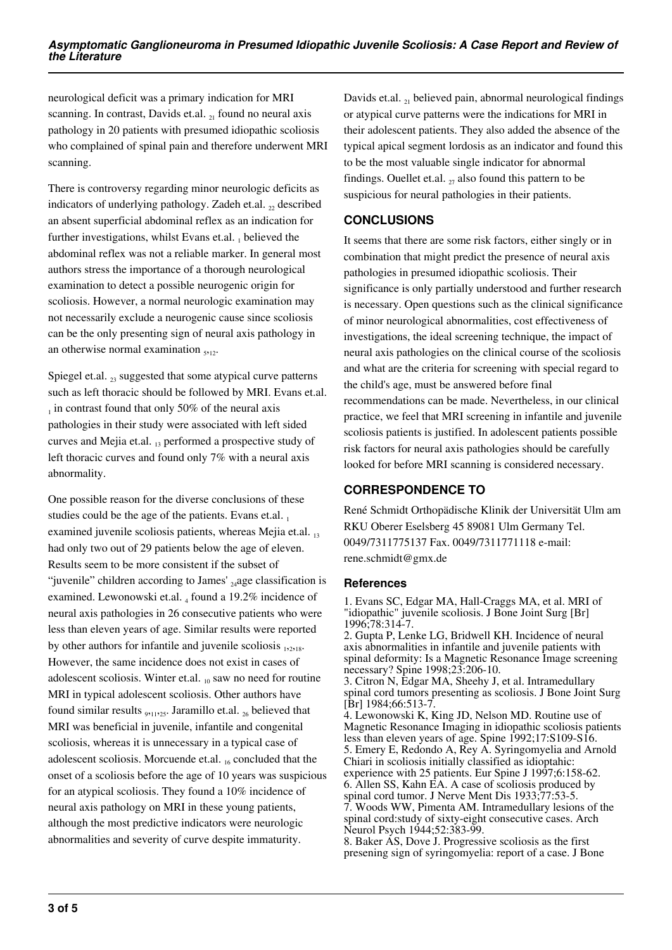neurological deficit was a primary indication for MRI scanning. In contrast, Davids et.al.  $_{21}$  found no neural axis pathology in 20 patients with presumed idiopathic scoliosis who complained of spinal pain and therefore underwent MRI scanning.

There is controversy regarding minor neurologic deficits as indicators of underlying pathology. Zadeh et.al.  $<sub>2</sub>$ , described</sub> an absent superficial abdominal reflex as an indication for further investigations, whilst Evans et.al.  $_1$  believed the abdominal reflex was not a reliable marker. In general most authors stress the importance of a thorough neurological examination to detect a possible neurogenic origin for scoliosis. However, a normal neurologic examination may not necessarily exclude a neurogenic cause since scoliosis can be the only presenting sign of neural axis pathology in an otherwise normal examination  $_{5,12}$ .

Spiegel et.al.  $_{23}$  suggested that some atypical curve patterns such as left thoracic should be followed by MRI. Evans et.al.  $_1$  in contrast found that only 50% of the neural axis pathologies in their study were associated with left sided curves and Mejia et.al.  $_{13}$  performed a prospective study of left thoracic curves and found only 7% with a neural axis abnormality.

One possible reason for the diverse conclusions of these studies could be the age of the patients. Evans et.al.  $_1$ examined juvenile scoliosis patients, whereas Mejia et.al. 13 had only two out of 29 patients below the age of eleven. Results seem to be more consistent if the subset of "juvenile" children according to James'  $_{24}$ age classification is examined. Lewonowski et.al. 4 found a 19.2% incidence of neural axis pathologies in 26 consecutive patients who were less than eleven years of age. Similar results were reported by other authors for infantile and juvenile scoliosis  $_{12,18}$ . However, the same incidence does not exist in cases of adolescent scoliosis. Winter et.al.  $_{10}$  saw no need for routine MRI in typical adolescent scoliosis. Other authors have found similar results  $_{9,11,25}$ . Jaramillo et.al.  $_{26}$  believed that MRI was beneficial in juvenile, infantile and congenital scoliosis, whereas it is unnecessary in a typical case of adolescent scoliosis. Morcuende et.al.  $_{16}$  concluded that the onset of a scoliosis before the age of 10 years was suspicious for an atypical scoliosis. They found a 10% incidence of neural axis pathology on MRI in these young patients, although the most predictive indicators were neurologic abnormalities and severity of curve despite immaturity.

Davids et.al.  $_{21}$  believed pain, abnormal neurological findings or atypical curve patterns were the indications for MRI in their adolescent patients. They also added the absence of the typical apical segment lordosis as an indicator and found this to be the most valuable single indicator for abnormal findings. Ouellet et.al.  $_{27}$  also found this pattern to be suspicious for neural pathologies in their patients.

#### **CONCLUSIONS**

It seems that there are some risk factors, either singly or in combination that might predict the presence of neural axis pathologies in presumed idiopathic scoliosis. Their significance is only partially understood and further research is necessary. Open questions such as the clinical significance of minor neurological abnormalities, cost effectiveness of investigations, the ideal screening technique, the impact of neural axis pathologies on the clinical course of the scoliosis and what are the criteria for screening with special regard to the child's age, must be answered before final recommendations can be made. Nevertheless, in our clinical practice, we feel that MRI screening in infantile and juvenile scoliosis patients is justified. In adolescent patients possible risk factors for neural axis pathologies should be carefully looked for before MRI scanning is considered necessary.

# **CORRESPONDENCE TO**

René Schmidt Orthopädische Klinik der Universität Ulm am RKU Oberer Eselsberg 45 89081 Ulm Germany Tel. 0049/7311775137 Fax. 0049/7311771118 e-mail: rene.schmidt@gmx.de

#### **References**

1. Evans SC, Edgar MA, Hall-Craggs MA, et al. MRI of "idiopathic" juvenile scoliosis. J Bone Joint Surg [Br] 1996;78:314-7.

2. Gupta P, Lenke LG, Bridwell KH. Incidence of neural axis abnormalities in infantile and juvenile patients with spinal deformity: Is a Magnetic Resonance Image screening necessary? Spine 1998;23:206-10.

3. Citron N, Edgar MA, Sheehy J, et al. Intramedullary spinal cord tumors presenting as scoliosis. J Bone Joint Surg [Br] 1984;66:513-7.

4. Lewonowski K, King JD, Nelson MD. Routine use of Magnetic Resonance Imaging in idiopathic scoliosis patients less than eleven years of age. Spine 1992;17:S109-S16. 5. Emery E, Redondo A, Rey A. Syringomyelia and Arnold Chiari in scoliosis initially classified as idioptahic: experience with 25 patients. Eur Spine J 1997;6:158-62. 6. Allen SS, Kahn EA. A case of scoliosis produced by spinal cord tumor. J Nerve Ment Dis 1933;77:53-5. 7. Woods WW, Pimenta AM. Intramedullary lesions of the spinal cord:study of sixty-eight consecutive cases. Arch Neurol Psych 1944;52:383-99.

8. Baker AS, Dove J. Progressive scoliosis as the first presening sign of syringomyelia: report of a case. J Bone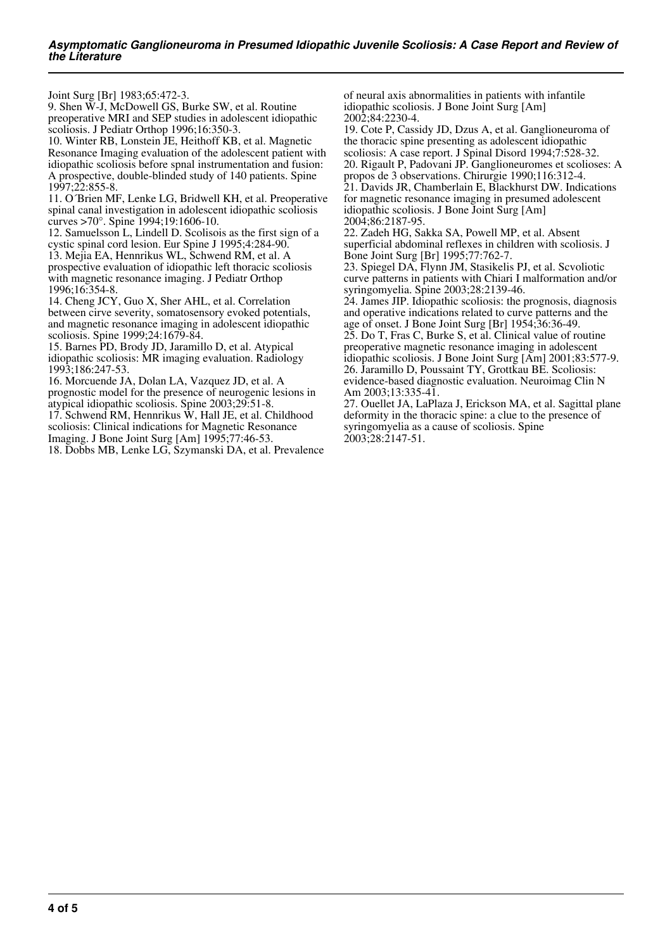Joint Surg [Br] 1983;65:472-3.

9. Shen W-J, McDowell GS, Burke SW, et al. Routine preoperative MRI and SEP studies in adolescent idiopathic scoliosis. J Pediatr Orthop 1996;16:350-3.

10. Winter RB, Lonstein JE, Heithoff KB, et al. Magnetic Resonance Imaging evaluation of the adolescent patient with idiopathic scoliosis before spnal instrumentation and fusion: A prospective, double-blinded study of 140 patients. Spine 1997;22:855-8.

11. O´Brien MF, Lenke LG, Bridwell KH, et al. Preoperative spinal canal investigation in adolescent idiopathic scoliosis curves >70°. Spine 1994;19:1606-10.

12. Samuelsson L, Lindell D. Scolisois as the first sign of a cystic spinal cord lesion. Eur Spine J 1995;4:284-90.

13. Mejia EA, Hennrikus WL, Schwend RM, et al. A prospective evaluation of idiopathic left thoracic scoliosis with magnetic resonance imaging. J Pediatr Orthop 1996;16:354-8.

14. Cheng JCY, Guo X, Sher AHL, et al. Correlation between cirve severity, somatosensory evoked potentials, and magnetic resonance imaging in adolescent idiopathic scoliosis. Spine 1999;24:1679-84.

15. Barnes PD, Brody JD, Jaramillo D, et al. Atypical idiopathic scoliosis: MR imaging evaluation. Radiology 1993;186:247-53.

16. Morcuende JA, Dolan LA, Vazquez JD, et al. A prognostic model for the presence of neurogenic lesions in atypical idiopathic scoliosis. Spine 2003;29:51-8.

17. Schwend RM, Hennrikus W, Hall JE, et al. Childhood scoliosis: Clinical indications for Magnetic Resonance Imaging. J Bone Joint Surg [Am] 1995;77:46-53.

18. Dobbs MB, Lenke LG, Szymanski DA, et al. Prevalence

of neural axis abnormalities in patients with infantile idiopathic scoliosis. J Bone Joint Surg [Am] 2002;84:2230-4.

19. Cote P, Cassidy JD, Dzus A, et al. Ganglioneuroma of the thoracic spine presenting as adolescent idiopathic scoliosis: A case report. J Spinal Disord 1994;7:528-32. 20. Rigault P, Padovani JP. Ganglioneuromes et scolioses: A propos de 3 observations. Chirurgie 1990;116:312-4. 21. Davids JR, Chamberlain E, Blackhurst DW. Indications for magnetic resonance imaging in presumed adolescent idiopathic scoliosis. J Bone Joint Surg [Am] 2004;86:2187-95.

22. Zadeh HG, Sakka SA, Powell MP, et al. Absent superficial abdominal reflexes in children with scoliosis. J Bone Joint Surg [Br] 1995;77:762-7.

23. Spiegel DA, Flynn JM, Stasikelis PJ, et al. Scvoliotic curve patterns in patients with Chiari I malformation and/or syringomyelia. Spine 2003;28:2139-46.

24. James JIP. Idiopathic scoliosis: the prognosis, diagnosis and operative indications related to curve patterns and the age of onset. J Bone Joint Surg [Br] 1954;36:36-49.

25. Do T, Fras C, Burke S, et al. Clinical value of routine preoperative magnetic resonance imaging in adolescent idiopathic scoliosis. J Bone Joint Surg [Am] 2001;83:577-9. 26. Jaramillo D, Poussaint TY, Grottkau BE. Scoliosis: evidence-based diagnostic evaluation. Neuroimag Clin N Am 2003;13:335-41.

27. Ouellet JA, LaPlaza J, Erickson MA, et al. Sagittal plane deformity in the thoracic spine: a clue to the presence of syringomyelia as a cause of scoliosis. Spine 2003;28:2147-51.